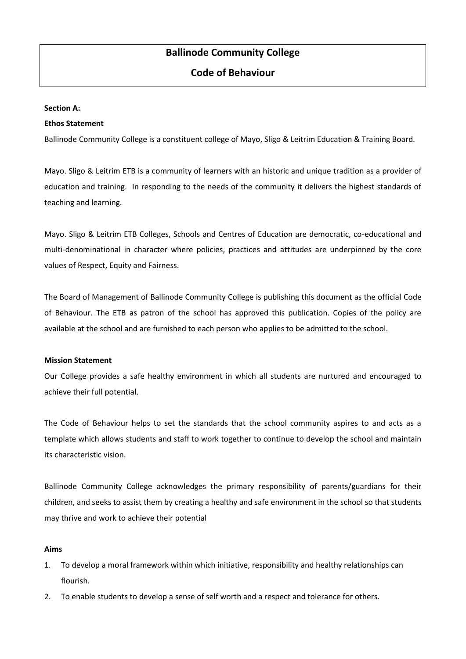# **Ballinode Community College**

# **Code of Behaviour**

#### **Section A:**

#### **Ethos Statement**

Ballinode Community College is a constituent college of Mayo, Sligo & Leitrim Education & Training Board.

Mayo. Sligo & Leitrim ETB is a community of learners with an historic and unique tradition as a provider of education and training. In responding to the needs of the community it delivers the highest standards of teaching and learning.

Mayo. Sligo & Leitrim ETB Colleges, Schools and Centres of Education are democratic, co-educational and multi-denominational in character where policies, practices and attitudes are underpinned by the core values of Respect, Equity and Fairness.

The Board of Management of Ballinode Community College is publishing this document as the official Code of Behaviour. The ETB as patron of the school has approved this publication. Copies of the policy are available at the school and are furnished to each person who applies to be admitted to the school.

#### **Mission Statement**

Our College provides a safe healthy environment in which all students are nurtured and encouraged to achieve their full potential.

The Code of Behaviour helps to set the standards that the school community aspires to and acts as a template which allows students and staff to work together to continue to develop the school and maintain its characteristic vision.

Ballinode Community College acknowledges the primary responsibility of parents/guardians for their children, and seeks to assist them by creating a healthy and safe environment in the school so that students may thrive and work to achieve their potential

### **Aims**

- 1. To develop a moral framework within which initiative, responsibility and healthy relationships can flourish.
- 2. To enable students to develop a sense of self worth and a respect and tolerance for others.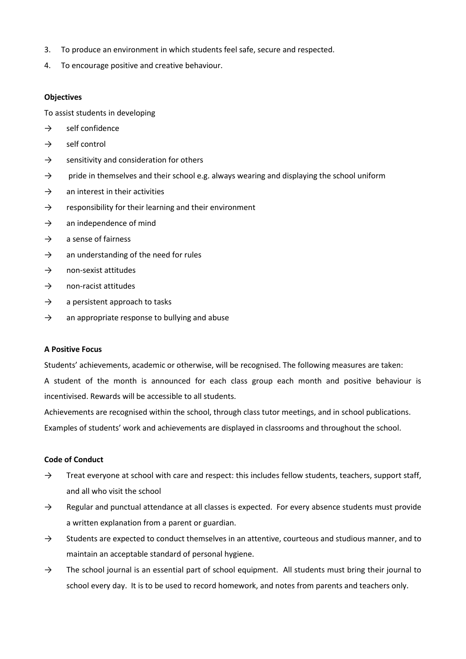- 3. To produce an environment in which students feel safe, secure and respected.
- 4. To encourage positive and creative behaviour.

## **Objectives**

To assist students in developing

- $\rightarrow$  self confidence
- $\rightarrow$  self control
- $\rightarrow$  sensitivity and consideration for others
- $\rightarrow$  pride in themselves and their school e.g. always wearing and displaying the school uniform
- $\rightarrow$  an interest in their activities
- $\rightarrow$  responsibility for their learning and their environment
- $\rightarrow$  an independence of mind
- $\rightarrow$  a sense of fairness
- $\rightarrow$  an understanding of the need for rules
- $\rightarrow$  non-sexist attitudes
- $\rightarrow$  non-racist attitudes
- $\rightarrow$  a persistent approach to tasks
- $\rightarrow$  an appropriate response to bullying and abuse

### **A Positive Focus**

Students' achievements, academic or otherwise, will be recognised. The following measures are taken:

A student of the month is announced for each class group each month and positive behaviour is incentivised. Rewards will be accessible to all students.

Achievements are recognised within the school, through class tutor meetings, and in school publications. Examples of students' work and achievements are displayed in classrooms and throughout the school.

## **Code of Conduct**

- $\rightarrow$  Treat everyone at school with care and respect: this includes fellow students, teachers, support staff, and all who visit the school
- $\rightarrow$  Regular and punctual attendance at all classes is expected. For every absence students must provide a written explanation from a parent or guardian.
- $\rightarrow$  Students are expected to conduct themselves in an attentive, courteous and studious manner, and to maintain an acceptable standard of personal hygiene.
- $\rightarrow$  The school journal is an essential part of school equipment. All students must bring their journal to school every day. It is to be used to record homework, and notes from parents and teachers only.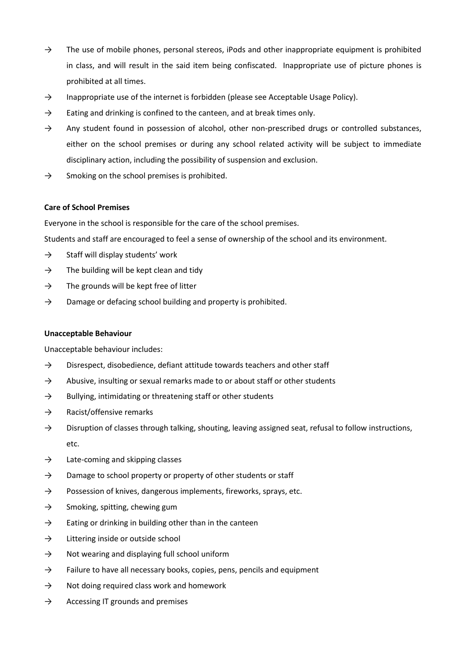- $\rightarrow$  The use of mobile phones, personal stereos, iPods and other inappropriate equipment is prohibited in class, and will result in the said item being confiscated. Inappropriate use of picture phones is prohibited at all times.
- $\rightarrow$  Inappropriate use of the internet is forbidden (please see Acceptable Usage Policy).
- $\rightarrow$  Eating and drinking is confined to the canteen, and at break times only.
- $\rightarrow$  Any student found in possession of alcohol, other non-prescribed drugs or controlled substances, either on the school premises or during any school related activity will be subject to immediate disciplinary action, including the possibility of suspension and exclusion.
- $\rightarrow$  Smoking on the school premises is prohibited.

### **Care of School Premises**

Everyone in the school is responsible for the care of the school premises.

Students and staff are encouraged to feel a sense of ownership of the school and its environment.

- $\rightarrow$  Staff will display students' work
- $\rightarrow$  The building will be kept clean and tidy
- $\rightarrow$  The grounds will be kept free of litter
- $\rightarrow$  Damage or defacing school building and property is prohibited.

#### **Unacceptable Behaviour**

Unacceptable behaviour includes:

- $\rightarrow$  Disrespect, disobedience, defiant attitude towards teachers and other staff
- $\rightarrow$  Abusive, insulting or sexual remarks made to or about staff or other students
- $\rightarrow$  Bullying, intimidating or threatening staff or other students
- $\rightarrow$  Racist/offensive remarks
- $\rightarrow$  Disruption of classes through talking, shouting, leaving assigned seat, refusal to follow instructions, etc.
- $\rightarrow$  Late-coming and skipping classes
- $\rightarrow$  Damage to school property or property of other students or staff
- $\rightarrow$  Possession of knives, dangerous implements, fireworks, sprays, etc.
- $\rightarrow$  Smoking, spitting, chewing gum
- $\rightarrow$  Eating or drinking in building other than in the canteen
- $\rightarrow$  Littering inside or outside school
- $\rightarrow$  Not wearing and displaying full school uniform
- $\rightarrow$  Failure to have all necessary books, copies, pens, pencils and equipment
- $\rightarrow$  Not doing required class work and homework
- $\rightarrow$  Accessing IT grounds and premises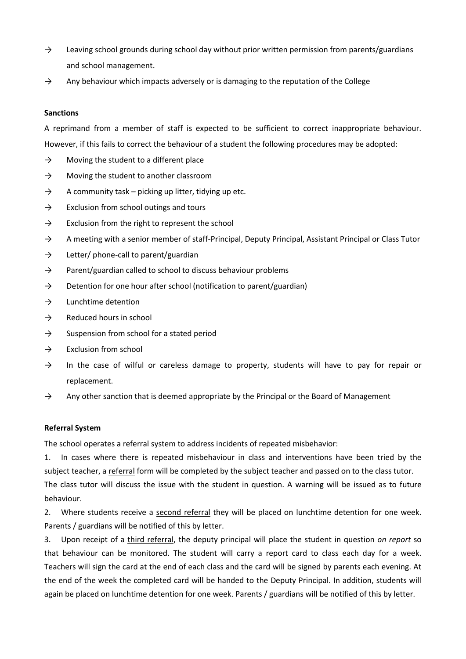- $\rightarrow$  Leaving school grounds during school day without prior written permission from parents/guardians and school management.
- $\rightarrow$  Any behaviour which impacts adversely or is damaging to the reputation of the College

## **Sanctions**

A reprimand from a member of staff is expected to be sufficient to correct inappropriate behaviour. However, if this fails to correct the behaviour of a student the following procedures may be adopted:

- $\rightarrow$  Moving the student to a different place
- $\rightarrow$  Moving the student to another classroom
- $\rightarrow$  A community task picking up litter, tidying up etc.
- $\rightarrow$  Exclusion from school outings and tours
- $\rightarrow$  Exclusion from the right to represent the school
- → A meeting with a senior member of staff-Principal, Deputy Principal, Assistant Principal or Class Tutor
- $\rightarrow$  Letter/ phone-call to parent/guardian
- $\rightarrow$  Parent/guardian called to school to discuss behaviour problems
- $\rightarrow$  Detention for one hour after school (notification to parent/guardian)
- $\rightarrow$  Lunchtime detention
- $\rightarrow$  Reduced hours in school
- $\rightarrow$  Suspension from school for a stated period
- $\rightarrow$  Exclusion from school
- $\rightarrow$  In the case of wilful or careless damage to property, students will have to pay for repair or replacement.
- $\rightarrow$  Any other sanction that is deemed appropriate by the Principal or the Board of Management

# **Referral System**

The school operates a referral system to address incidents of repeated misbehavior:

1. In cases where there is repeated misbehaviour in class and interventions have been tried by the subject teacher, a referral form will be completed by the subject teacher and passed on to the class tutor. The class tutor will discuss the issue with the student in question. A warning will be issued as to future behaviour.

2. Where students receive a second referral they will be placed on lunchtime detention for one week. Parents / guardians will be notified of this by letter.

3. Upon receipt of a third referral, the deputy principal will place the student in question *on report* so that behaviour can be monitored. The student will carry a report card to class each day for a week. Teachers will sign the card at the end of each class and the card will be signed by parents each evening. At the end of the week the completed card will be handed to the Deputy Principal. In addition, students will again be placed on lunchtime detention for one week. Parents / guardians will be notified of this by letter.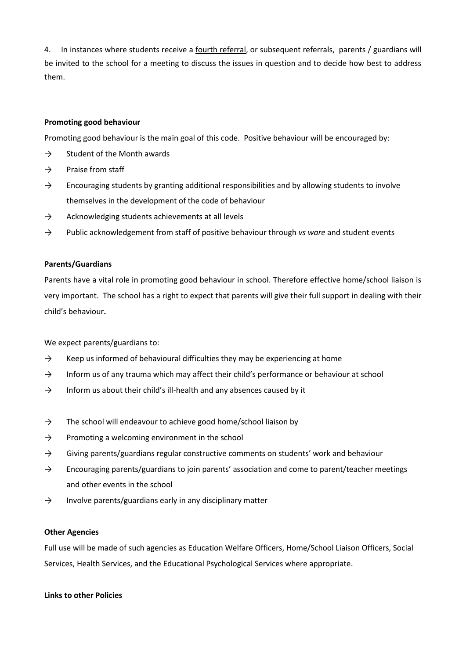4. In instances where students receive a fourth referral, or subsequent referrals, parents / guardians will be invited to the school for a meeting to discuss the issues in question and to decide how best to address them.

### **Promoting good behaviour**

Promoting good behaviour is the main goal of this code. Positive behaviour will be encouraged by:

- $\rightarrow$  Student of the Month awards
- $\rightarrow$  Praise from staff
- $\rightarrow$  Encouraging students by granting additional responsibilities and by allowing students to involve themselves in the development of the code of behaviour
- $\rightarrow$  Acknowledging students achievements at all levels
- → Public acknowledgement from staff of positive behaviour through *vs ware* and student events

#### **Parents/Guardians**

Parents have a vital role in promoting good behaviour in school. Therefore effective home/school liaison is very important. The school has a right to expect that parents will give their full support in dealing with their child's behaviour**.**

We expect parents/guardians to:

- $\rightarrow$  Keep us informed of behavioural difficulties they may be experiencing at home
- $\rightarrow$  Inform us of any trauma which may affect their child's performance or behaviour at school
- $\rightarrow$  Inform us about their child's ill-health and any absences caused by it
- $\rightarrow$  The school will endeavour to achieve good home/school liaison by
- $\rightarrow$  Promoting a welcoming environment in the school
- $\rightarrow$  Giving parents/guardians regular constructive comments on students' work and behaviour
- $\rightarrow$  Encouraging parents/guardians to join parents' association and come to parent/teacher meetings and other events in the school
- $\rightarrow$  Involve parents/guardians early in any disciplinary matter

#### **Other Agencies**

Full use will be made of such agencies as Education Welfare Officers, Home/School Liaison Officers, Social Services, Health Services, and the Educational Psychological Services where appropriate.

#### **Links to other Policies**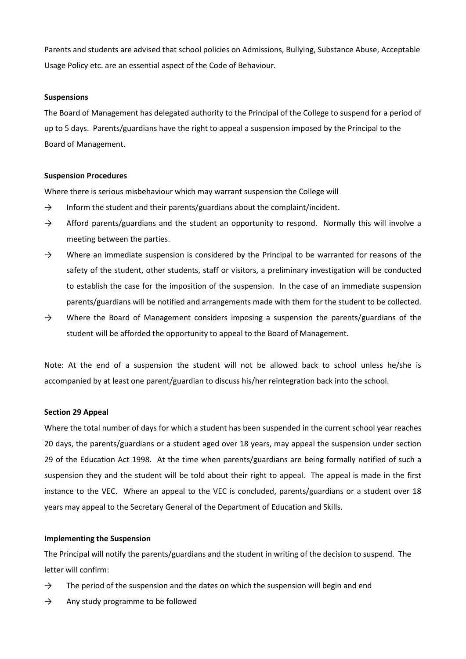Parents and students are advised that school policies on Admissions, Bullying, Substance Abuse, Acceptable Usage Policy etc. are an essential aspect of the Code of Behaviour.

#### **Suspensions**

The Board of Management has delegated authority to the Principal of the College to suspend for a period of up to 5 days. Parents/guardians have the right to appeal a suspension imposed by the Principal to the Board of Management.

#### **Suspension Procedures**

Where there is serious misbehaviour which may warrant suspension the College will

- $\rightarrow$  Inform the student and their parents/guardians about the complaint/incident.
- $\rightarrow$  Afford parents/guardians and the student an opportunity to respond. Normally this will involve a meeting between the parties.
- $\rightarrow$  Where an immediate suspension is considered by the Principal to be warranted for reasons of the safety of the student, other students, staff or visitors, a preliminary investigation will be conducted to establish the case for the imposition of the suspension. In the case of an immediate suspension parents/guardians will be notified and arrangements made with them for the student to be collected.
- $\rightarrow$  Where the Board of Management considers imposing a suspension the parents/guardians of the student will be afforded the opportunity to appeal to the Board of Management.

Note: At the end of a suspension the student will not be allowed back to school unless he/she is accompanied by at least one parent/guardian to discuss his/her reintegration back into the school.

#### **Section 29 Appeal**

Where the total number of days for which a student has been suspended in the current school year reaches 20 days, the parents/guardians or a student aged over 18 years, may appeal the suspension under section 29 of the Education Act 1998. At the time when parents/guardians are being formally notified of such a suspension they and the student will be told about their right to appeal. The appeal is made in the first instance to the VEC. Where an appeal to the VEC is concluded, parents/guardians or a student over 18 years may appeal to the Secretary General of the Department of Education and Skills.

### **Implementing the Suspension**

The Principal will notify the parents/guardians and the student in writing of the decision to suspend. The letter will confirm:

- $\rightarrow$  The period of the suspension and the dates on which the suspension will begin and end
- $\rightarrow$  Any study programme to be followed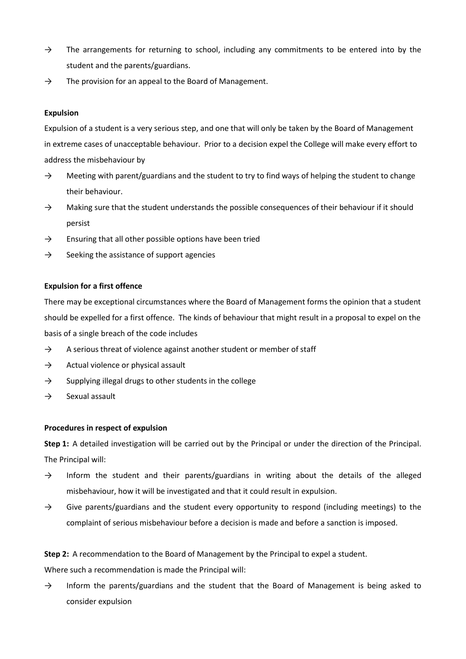- $\rightarrow$  The arrangements for returning to school, including any commitments to be entered into by the student and the parents/guardians.
- $\rightarrow$  The provision for an appeal to the Board of Management.

## **Expulsion**

Expulsion of a student is a very serious step, and one that will only be taken by the Board of Management in extreme cases of unacceptable behaviour. Prior to a decision expel the College will make every effort to address the misbehaviour by

- $\rightarrow$  Meeting with parent/guardians and the student to try to find ways of helping the student to change their behaviour.
- $\rightarrow$  Making sure that the student understands the possible consequences of their behaviour if it should persist
- $\rightarrow$  Ensuring that all other possible options have been tried
- $\rightarrow$  Seeking the assistance of support agencies

### **Expulsion for a first offence**

There may be exceptional circumstances where the Board of Management forms the opinion that a student should be expelled for a first offence. The kinds of behaviour that might result in a proposal to expel on the basis of a single breach of the code includes

- $\rightarrow$  A serious threat of violence against another student or member of staff
- $\rightarrow$  Actual violence or physical assault
- $\rightarrow$  Supplying illegal drugs to other students in the college
- $\rightarrow$  Sexual assault

### **Procedures in respect of expulsion**

**Step 1:** A detailed investigation will be carried out by the Principal or under the direction of the Principal. The Principal will:

- $\rightarrow$  Inform the student and their parents/guardians in writing about the details of the alleged misbehaviour, how it will be investigated and that it could result in expulsion.
- $\rightarrow$  Give parents/guardians and the student every opportunity to respond (including meetings) to the complaint of serious misbehaviour before a decision is made and before a sanction is imposed.

# **Step 2:** A recommendation to the Board of Management by the Principal to expel a student.

Where such a recommendation is made the Principal will:

 $\rightarrow$  Inform the parents/guardians and the student that the Board of Management is being asked to consider expulsion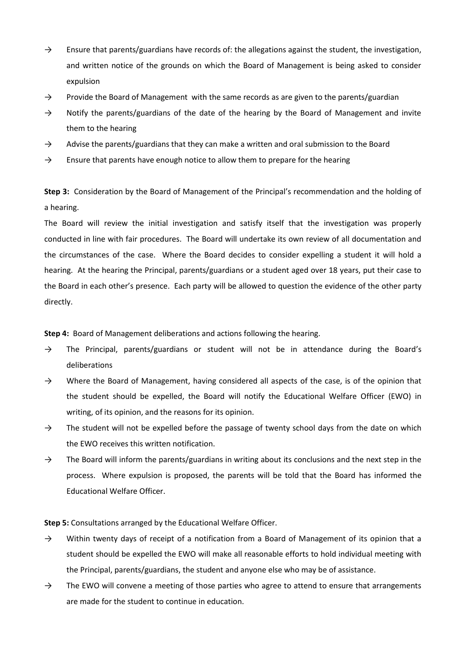- $\rightarrow$  Ensure that parents/guardians have records of: the allegations against the student, the investigation, and written notice of the grounds on which the Board of Management is being asked to consider expulsion
- $\rightarrow$  Provide the Board of Management with the same records as are given to the parents/guardian
- $\rightarrow$  Notify the parents/guardians of the date of the hearing by the Board of Management and invite them to the hearing
- $\rightarrow$  Advise the parents/guardians that they can make a written and oral submission to the Board
- $\rightarrow$  Ensure that parents have enough notice to allow them to prepare for the hearing

**Step 3:** Consideration by the Board of Management of the Principal's recommendation and the holding of a hearing.

The Board will review the initial investigation and satisfy itself that the investigation was properly conducted in line with fair procedures. The Board will undertake its own review of all documentation and the circumstances of the case. Where the Board decides to consider expelling a student it will hold a hearing. At the hearing the Principal, parents/guardians or a student aged over 18 years, put their case to the Board in each other's presence. Each party will be allowed to question the evidence of the other party directly.

**Step 4:** Board of Management deliberations and actions following the hearing.

- $\rightarrow$  The Principal, parents/guardians or student will not be in attendance during the Board's deliberations
- → Where the Board of Management, having considered all aspects of the case, is of the opinion that the student should be expelled, the Board will notify the Educational Welfare Officer (EWO) in writing, of its opinion, and the reasons for its opinion.
- $\rightarrow$  The student will not be expelled before the passage of twenty school days from the date on which the EWO receives this written notification.
- $\rightarrow$  The Board will inform the parents/guardians in writing about its conclusions and the next step in the process. Where expulsion is proposed, the parents will be told that the Board has informed the Educational Welfare Officer.

**Step 5:** Consultations arranged by the Educational Welfare Officer.

- $\rightarrow$  Within twenty days of receipt of a notification from a Board of Management of its opinion that a student should be expelled the EWO will make all reasonable efforts to hold individual meeting with the Principal, parents/guardians, the student and anyone else who may be of assistance.
- $\rightarrow$  The EWO will convene a meeting of those parties who agree to attend to ensure that arrangements are made for the student to continue in education.